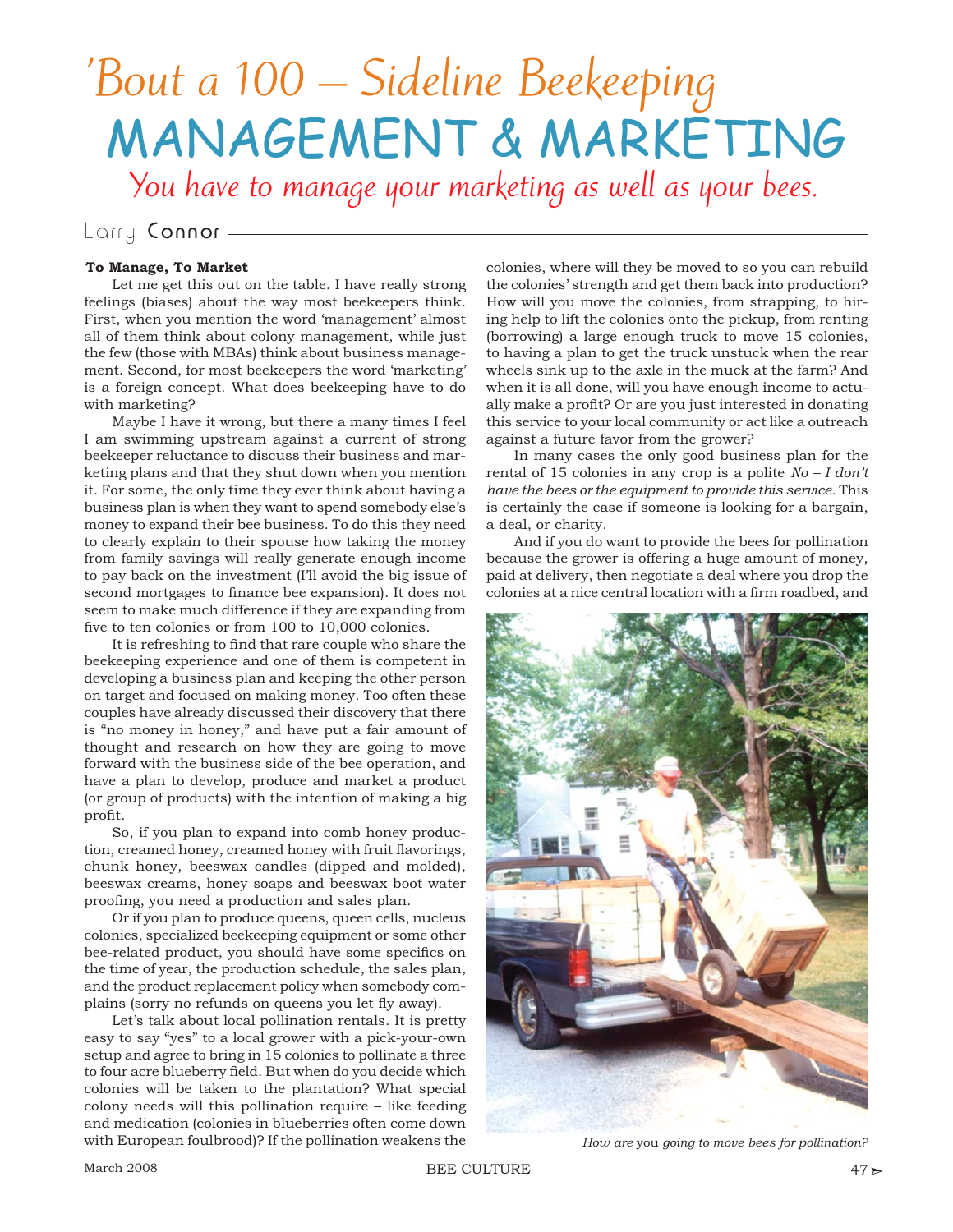## 'Bout a 100 – Sideline Beekeeping MANAGEMENT & MARKETING

You have to manage your marketing as well as your bees.

## Larry Connor -

## **To Manage, To Market**

Let me get this out on the table. I have really strong feelings (biases) about the way most beekeepers think. First, when you mention the word 'management' almost all of them think about colony management, while just the few (those with MBAs) think about business management. Second, for most beekeepers the word 'marketing' is a foreign concept. What does beekeeping have to do with marketing?

Maybe I have it wrong, but there a many times I feel I am swimming upstream against a current of strong beekeeper reluctance to discuss their business and marketing plans and that they shut down when you mention it. For some, the only time they ever think about having a business plan is when they want to spend somebody else's money to expand their bee business. To do this they need to clearly explain to their spouse how taking the money from family savings will really generate enough income to pay back on the investment (I'll avoid the big issue of second mortgages to finance bee expansion). It does not seem to make much difference if they are expanding from five to ten colonies or from 100 to 10,000 colonies.

It is refreshing to find that rare couple who share the beekeeping experience and one of them is competent in developing a business plan and keeping the other person on target and focused on making money. Too often these couples have already discussed their discovery that there is "no money in honey," and have put a fair amount of thought and research on how they are going to move forward with the business side of the bee operation, and have a plan to develop, produce and market a product (or group of products) with the intention of making a big profit.

So, if you plan to expand into comb honey production, creamed honey, creamed honey with fruit flavorings, chunk honey, beeswax candles (dipped and molded), beeswax creams, honey soaps and beeswax boot water proofing, you need a production and sales plan.

Or if you plan to produce queens, queen cells, nucleus colonies, specialized beekeeping equipment or some other bee-related product, you should have some specifics on the time of year, the production schedule, the sales plan, and the product replacement policy when somebody complains (sorry no refunds on queens you let fly away).

Let's talk about local pollination rentals. It is pretty easy to say "yes" to a local grower with a pick-your-own setup and agree to bring in 15 colonies to pollinate a three to four acre blueberry field. But when do you decide which colonies will be taken to the plantation? What special colony needs will this pollination require – like feeding and medication (colonies in blueberries often come down with European foulbrood)? If the pollination weakens the

colonies, where will they be moved to so you can rebuild the colonies' strength and get them back into production? How will you move the colonies, from strapping, to hiring help to lift the colonies onto the pickup, from renting (borrowing) a large enough truck to move 15 colonies, to having a plan to get the truck unstuck when the rear wheels sink up to the axle in the muck at the farm? And when it is all done, will you have enough income to actually make a profit? Or are you just interested in donating this service to your local community or act like a outreach against a future favor from the grower?

In many cases the only good business plan for the rental of 15 colonies in any crop is a polite *No – I don't have the bees or the equipment to provide this service.* This is certainly the case if someone is looking for a bargain, a deal, or charity.

And if you do want to provide the bees for pollination because the grower is offering a huge amount of money, paid at delivery, then negotiate a deal where you drop the colonies at a nice central location with a firm roadbed, and



*How are* you *going to move bees for pollination?*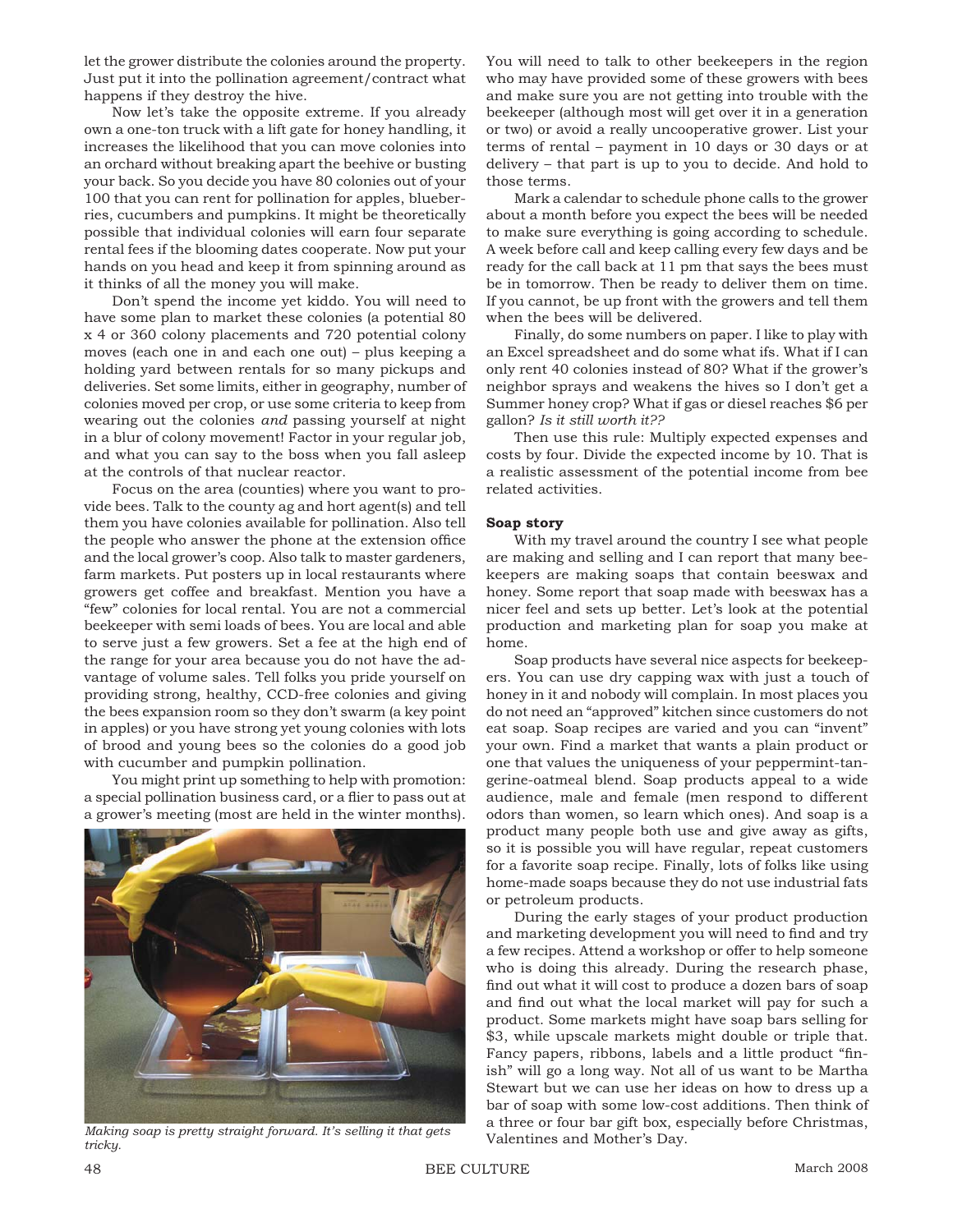let the grower distribute the colonies around the property. Just put it into the pollination agreement/contract what happens if they destroy the hive.

Now let's take the opposite extreme. If you already own a one-ton truck with a lift gate for honey handling, it increases the likelihood that you can move colonies into an orchard without breaking apart the beehive or busting your back. So you decide you have 80 colonies out of your 100 that you can rent for pollination for apples, blueberries, cucumbers and pumpkins. It might be theoretically possible that individual colonies will earn four separate rental fees if the blooming dates cooperate. Now put your hands on you head and keep it from spinning around as it thinks of all the money you will make.

Don't spend the income yet kiddo. You will need to have some plan to market these colonies (a potential 80 x 4 or 360 colony placements and 720 potential colony moves (each one in and each one out) – plus keeping a holding yard between rentals for so many pickups and deliveries. Set some limits, either in geography, number of colonies moved per crop, or use some criteria to keep from wearing out the colonies *and* passing yourself at night in a blur of colony movement! Factor in your regular job, and what you can say to the boss when you fall asleep at the controls of that nuclear reactor.

Focus on the area (counties) where you want to provide bees. Talk to the county ag and hort agent(s) and tell them you have colonies available for pollination. Also tell the people who answer the phone at the extension office and the local grower's coop. Also talk to master gardeners, farm markets. Put posters up in local restaurants where growers get coffee and breakfast. Mention you have a "few" colonies for local rental. You are not a commercial beekeeper with semi loads of bees. You are local and able to serve just a few growers. Set a fee at the high end of the range for your area because you do not have the advantage of volume sales. Tell folks you pride yourself on providing strong, healthy, CCD-free colonies and giving the bees expansion room so they don't swarm (a key point in apples) or you have strong yet young colonies with lots of brood and young bees so the colonies do a good job with cucumber and pumpkin pollination.

You might print up something to help with promotion: a special pollination business card, or a flier to pass out at a grower's meeting (most are held in the winter months).



Valentines and Mother's Day. *Making soap is pretty straight forward. It's selling it that gets tricky.*

You will need to talk to other beekeepers in the region who may have provided some of these growers with bees and make sure you are not getting into trouble with the beekeeper (although most will get over it in a generation or two) or avoid a really uncooperative grower. List your terms of rental – payment in 10 days or 30 days or at delivery – that part is up to you to decide. And hold to those terms.

Mark a calendar to schedule phone calls to the grower about a month before you expect the bees will be needed to make sure everything is going according to schedule. A week before call and keep calling every few days and be ready for the call back at 11 pm that says the bees must be in tomorrow. Then be ready to deliver them on time. If you cannot, be up front with the growers and tell them when the bees will be delivered.

Finally, do some numbers on paper. I like to play with an Excel spreadsheet and do some what ifs. What if I can only rent 40 colonies instead of 80? What if the grower's neighbor sprays and weakens the hives so I don't get a Summer honey crop? What if gas or diesel reaches \$6 per gallon? *Is it still worth it??*

Then use this rule: Multiply expected expenses and costs by four. Divide the expected income by 10. That is a realistic assessment of the potential income from bee related activities.

## **Soap story**

With my travel around the country I see what people are making and selling and I can report that many beekeepers are making soaps that contain beeswax and honey. Some report that soap made with beeswax has a nicer feel and sets up better. Let's look at the potential production and marketing plan for soap you make at home.

Soap products have several nice aspects for beekeepers. You can use dry capping wax with just a touch of honey in it and nobody will complain. In most places you do not need an "approved" kitchen since customers do not eat soap. Soap recipes are varied and you can "invent" your own. Find a market that wants a plain product or one that values the uniqueness of your peppermint-tangerine-oatmeal blend. Soap products appeal to a wide audience, male and female (men respond to different odors than women, so learn which ones). And soap is a product many people both use and give away as gifts, so it is possible you will have regular, repeat customers for a favorite soap recipe. Finally, lots of folks like using home-made soaps because they do not use industrial fats or petroleum products.

During the early stages of your product production and marketing development you will need to find and try a few recipes. Attend a workshop or offer to help someone who is doing this already. During the research phase, find out what it will cost to produce a dozen bars of soap and find out what the local market will pay for such a product. Some markets might have soap bars selling for \$3, while upscale markets might double or triple that. Fancy papers, ribbons, labels and a little product "finish" will go a long way. Not all of us want to be Martha Stewart but we can use her ideas on how to dress up a bar of soap with some low-cost additions. Then think of a three or four bar gift box, especially before Christmas,